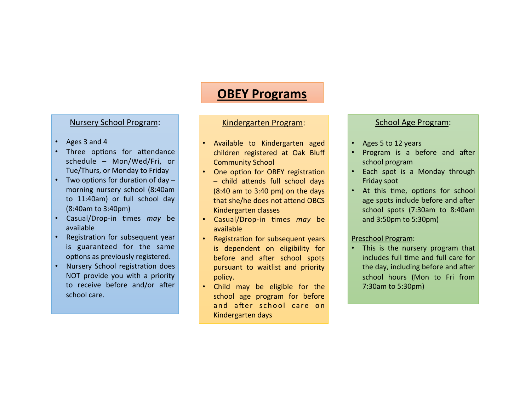# **OBEY Programs**

### Nursery School Program:

- Ages 3 and 4
- Three options for attendance schedule - Mon/Wed/Fri, or Tue/Thurs, or Monday to Friday
- Two options for duration of day  $$ morning nursery school (8:40am to 11:40am) or full school day (8:40am to 3:40pm)
- Casual/Drop-in times *may* be available
- Registration for subsequent year is guaranteed for the same options as previously registered.
- Nursery School registration does NOT provide you with a priority to receive before and/or after school care.

## Kindergarten Program:

- Available to Kindergarten aged children registered at Oak Bluff **Community School**
- One option for OBEY registration  $-$  child attends full school days  $(8:40$  am to  $3:40$  pm) on the days that she/he does not attend OBCS Kindergarten classes
- **Casual/Drop-in times may be** available
- Registration for subsequent years is dependent on eligibility for before and after school spots pursuant to waitlist and priority policy.
- Child may be eligible for the school age program for before and after school care on Kindergarten days

## School Age Program:

- Ages 5 to 12 years
- Program is a before and after school program
- Each spot is a Monday through Friday spot
- At this time, options for school age spots include before and after school spots (7:30am to 8:40am and 3:50pm to 5:30pm)

#### Preschool Program:

This is the nursery program that includes full time and full care for the day, including before and after school hours (Mon to Fri from 7:30am to 5:30pm)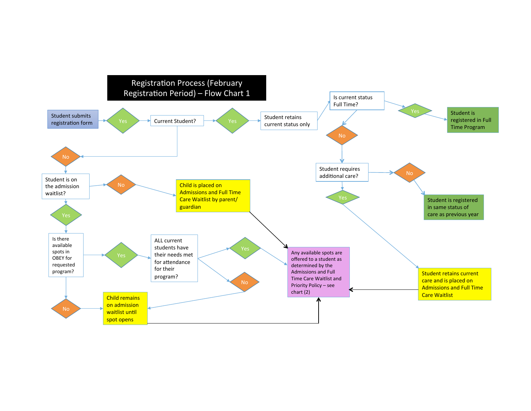